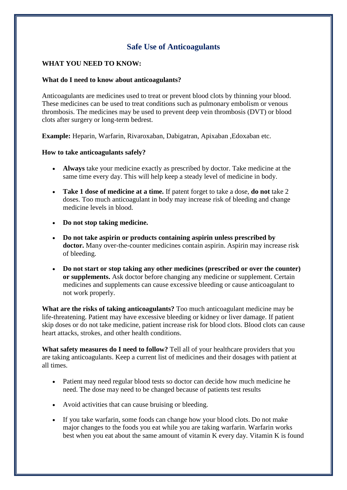# **Safe Use of Anticoagulants**

### **WHAT YOU NEED TO KNOW:**

#### **What do I need to know about anticoagulants?**

Anticoagulants are medicines used to treat or prevent blood clots by thinning your blood. These medicines can be used to treat conditions such as pulmonary embolism or venous thrombosis. The medicines may be used to prevent deep vein thrombosis (DVT) or blood clots after surgery or long-term bedrest.

**Example:** Heparin, Warfarin, Rivaroxaban, Dabigatran, Apixaban ,Edoxaban etc.

## **How to take anticoagulants safely?**

- **Always** take your medicine exactly as prescribed by doctor. Take medicine at the same time every day. This will help keep a steady level of medicine in body.
- **Take 1 dose of medicine at a time.** If patent forget to take a dose, **do not** take 2 doses. Too much anticoagulant in body may increase risk of bleeding and change medicine levels in blood.
- **Do not stop taking medicine.**
- **Do not take aspirin or products containing aspirin unless prescribed by doctor.** Many over-the-counter medicines contain aspirin. Aspirin may increase risk of bleeding.
- **Do not start or stop taking any other medicines (prescribed or over the counter) or supplements.** Ask doctor before changing any medicine or supplement. Certain medicines and supplements can cause excessive bleeding or cause anticoagulant to not work properly.

**What are the risks of taking anticoagulants?** Too much anticoagulant medicine may be life-threatening. Patient may have excessive bleeding or kidney or liver damage. If patient skip doses or do not take medicine, patient increase risk for blood clots. Blood clots can cause heart attacks, strokes, and other health conditions.

**What safety measures do I need to follow?** Tell all of your healthcare providers that you are taking anticoagulants. Keep a current list of medicines and their dosages with patient at all times.

- Patient may need regular blood tests so doctor can decide how much medicine he need. The dose may need to be changed because of patients test results
- Avoid activities that can cause bruising or bleeding.
- If you take warfarin, some foods can change how your blood clots. Do not make major changes to the foods you eat while you are taking warfarin. Warfarin works best when you eat about the same amount of vitamin K every day. Vitamin K is found